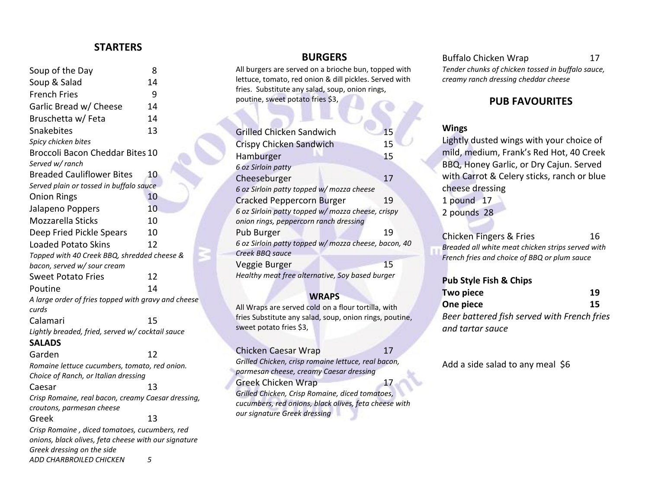## **STARTERS**

| Soup of the Day                                                                 | 8  |
|---------------------------------------------------------------------------------|----|
| Soup & Salad                                                                    | 14 |
| <b>French Fries</b>                                                             | 9  |
| Garlic Bread w/ Cheese                                                          | 14 |
| Bruschetta w/ Feta                                                              | 14 |
| Snakebites                                                                      | 13 |
| Spicy chicken bites                                                             |    |
| <b>Broccoli Bacon Cheddar Bites 10</b>                                          |    |
| Served w/ ranch                                                                 |    |
| <b>Breaded Cauliflower Bites</b>                                                | 10 |
| Served plain or tossed in buffalo sauce                                         |    |
| <b>Onion Rings</b>                                                              | 10 |
| Jalapeno Poppers                                                                | 10 |
| <b>Mozzarella Sticks</b>                                                        | 10 |
| Deep Fried Pickle Spears                                                        | 10 |
| <b>Loaded Potato Skins</b>                                                      | 12 |
| Topped with 40 Creek BBQ, shredded cheese &                                     |    |
| bacon, served w/ sour cream                                                     |    |
| <b>Sweet Potato Fries</b>                                                       | 12 |
| Poutine                                                                         | 14 |
| A large order of fries topped with gravy and cheese                             |    |
| curds                                                                           |    |
| Calamari                                                                        | 15 |
| Lightly breaded, fried, served w/ cocktail sauce                                |    |
| <b>SALADS</b>                                                                   |    |
| Garden                                                                          | 12 |
| Romaine lettuce cucumbers, tomato, red onion.                                   |    |
| Choice of Ranch, or Italian dressing                                            |    |
| Caesar                                                                          | 13 |
| Crisp Romaine, real bacon, creamy Caesar dressing,<br>croutons, parmesan cheese |    |
| Greek                                                                           | 13 |
| Crisp Romaine, diced tomatoes, cucumbers, red                                   |    |
| onions, black olives, feta cheese with our signature                            |    |
| Greek dressing on the side                                                      |    |

*ADD CHARBROILED CHICKEN 5*

#### **BURGERS**

All burgers are served on a brioche bun, topped with lettuce, tomato, red onion & dill pickles. Served with fries. Substitute any salad, soup, onion rings, poutine, sweet potato fries \$3,

| <b>Grilled Chicken Sandwich</b>                      | 15 |  |
|------------------------------------------------------|----|--|
| Crispy Chicken Sandwich                              | 15 |  |
| Hamburger                                            | 15 |  |
| 6 oz Sirloin patty                                   |    |  |
| Cheeseburger                                         | 17 |  |
| 6 oz Sirloin patty topped w/mozza cheese             |    |  |
| <b>Cracked Peppercorn Burger</b>                     | 19 |  |
| 6 oz Sirloin patty topped w/ mozza cheese, crispy    |    |  |
| onion rings, peppercorn ranch dressing               |    |  |
| Pub Burger                                           | 19 |  |
| 6 oz Sirloin patty topped w/ mozza cheese, bacon, 40 |    |  |
| Creek BBQ sauce                                      |    |  |
| Veggie Burger                                        | 15 |  |
| Healthy meat free alternative, Soy based burger      |    |  |

#### **WRAPS**

All Wraps are served cold on a flour tortilla, with fries Substitute any salad, soup, onion rings, poutine, sweet potato fries \$3,

| Chicken Caesar Wrap                                   | 17 |  |
|-------------------------------------------------------|----|--|
| Grilled Chicken, crisp romaine lettuce, real bacon,   |    |  |
| parmesan cheese, creamy Caesar dressing               |    |  |
| <b>Greek Chicken Wrap</b>                             | 17 |  |
| Grilled Chicken, Crisp Romaine, diced tomatoes,       |    |  |
| cucumbers, red onions, black olives, feta cheese with |    |  |
| our signature Greek dressing                          |    |  |

# Buffalo Chicken Wrap 17

*Tender chunks of chicken tossed in buffalo sauce, creamy ranch dressing cheddar cheese*

# **PUB FAVOURITES**

#### **Wings**

Lightly dusted wings with your choice of mild, medium, Frank's Red Hot, 40 Creek BBQ, Honey Garlic, or Dry Cajun. Served with Carrot & Celery sticks, ranch or blue cheese dressing

1 pound 17

2 pounds 28

Chicken Fingers & Fries 16 *Breaded all white meat chicken strips served with French fries and choice of BBQ or plum sauce*

#### **Pub Style Fish & Chips**

| <b>Two piece</b>                            | 19 |
|---------------------------------------------|----|
| One piece                                   | 15 |
| Beer battered fish served with French fries |    |
| and tartar sauce                            |    |

Add a side salad to any meal \$6